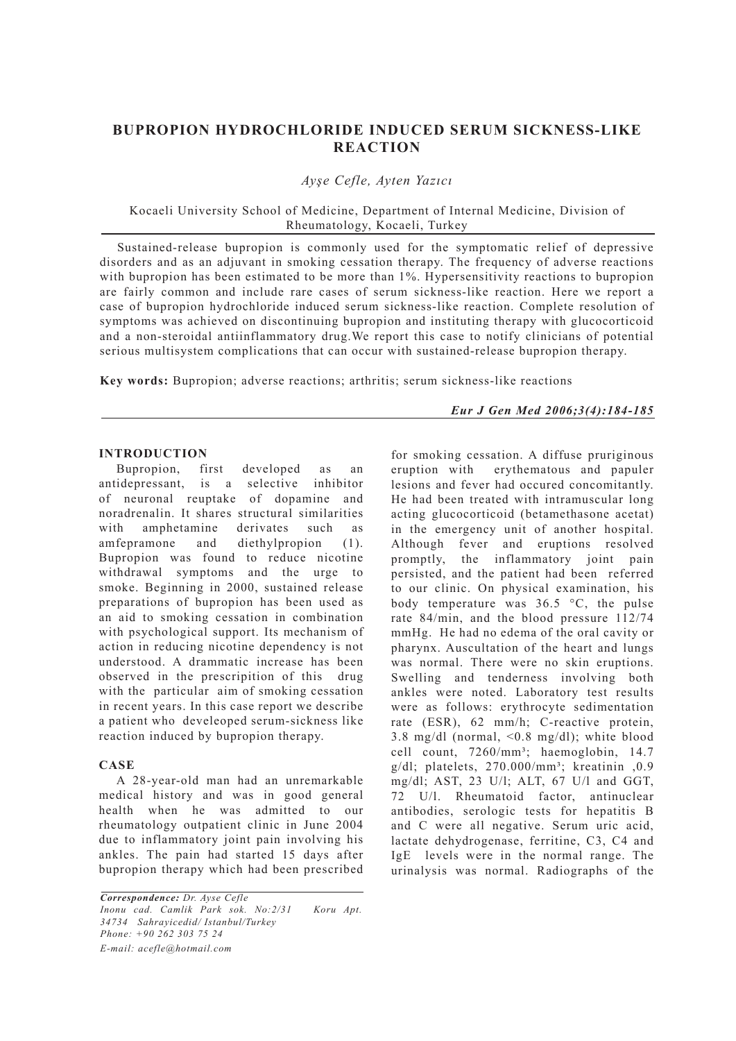# **BUPROPION HYDROCHLORIDE INDUCED SERUM SICKNESS-LIKE REACTION**

## *Ayşe Cefle, Ayten Yazıcı*

Kocaeli University School of Medicine, Department of Internal Medicine, Division of Rheumatology, Kocaeli, Turkey

Sustained-release bupropion is commonly used for the symptomatic relief of depressive disorders and as an adjuvant in smoking cessation therapy. The frequency of adverse reactions with bupropion has been estimated to be more than 1%. Hypersensitivity reactions to bupropion are fairly common and include rare cases of serum sickness-like reaction. Here we report a case of bupropion hydrochloride induced serum sickness-like reaction. Complete resolution of symptoms was achieved on discontinuing bupropion and instituting therapy with glucocorticoid and a non-steroidal antiinflammatory drug.We report this case to notify clinicians of potential serious multisystem complications that can occur with sustained-release bupropion therapy.

**Key words:** Bupropion; adverse reactions; arthritis; serum sickness-like reactions

#### *Eur J Gen Med 2006;3(4):184-185*

#### **INTRODUCTION**

Bupropion, first developed as an antidepressant, is a selective inhibitor of neuronal reuptake of dopamine and noradrenalin. It shares structural similarities with amphetamine derivates such as amfepramone and diethylpropion (1). Bupropion was found to reduce nicotine withdrawal symptoms and the urge to smoke. Beginning in 2000, sustained release preparations of bupropion has been used as an aid to smoking cessation in combination with psychological support. Its mechanism of action in reducing nicotine dependency is not understood. A drammatic increase has been observed in the prescripition of this drug with the particular aim of smoking cessation in recent years. In this case report we describe a patient who develeoped serum-sickness like reaction induced by bupropion therapy.

#### **CASE**

A 28-year-old man had an unremarkable medical history and was in good general health when he was admitted to our rheumatology outpatient clinic in June 2004 due to inflammatory joint pain involving his ankles. The pain had started 15 days after bupropion therapy which had been prescribed

*Correspondence: Dr. Ayse Cefle Inonu cad. Camlik Park sok. No:2/31 Koru Apt. 34734 Sahrayicedid/ Istanbul/Turkey Phone: +90 262 303 75 24 E-mail: acefle@hotmail.com*

for smoking cessation. A diffuse pruriginous eruption with erythematous and papuler lesions and fever had occured concomitantly. He had been treated with intramuscular long acting glucocorticoid (betamethasone acetat) in the emergency unit of another hospital. Although fever and eruptions resolved promptly, the inflammatory joint pain persisted, and the patient had been referred to our clinic. On physical examination, his body temperature was 36.5 °C, the pulse rate 84/min, and the blood pressure 112/74 mmHg. He had no edema of the oral cavity or pharynx. Auscultation of the heart and lungs was normal. There were no skin eruptions. Swelling and tenderness involving both ankles were noted. Laboratory test results were as follows: erythrocyte sedimentation rate (ESR), 62 mm/h; C-reactive protein, 3.8 mg/dl (normal, <0.8 mg/dl); white blood cell count, 7260/mm<sup>3</sup>; haemoglobin, 14.7  $g/d$ l; platelets, 270.000/mm<sup>3</sup>; kreatinin .0.9 mg/dl; AST, 23 U/l; ALT, 67 U/l and GGT, 72 U/l. Rheumatoid factor, antinuclear antibodies, serologic tests for hepatitis B and C were all negative. Serum uric acid, lactate dehydrogenase, ferritine, C3, C4 and IgE levels were in the normal range. The urinalysis was normal. Radiographs of the